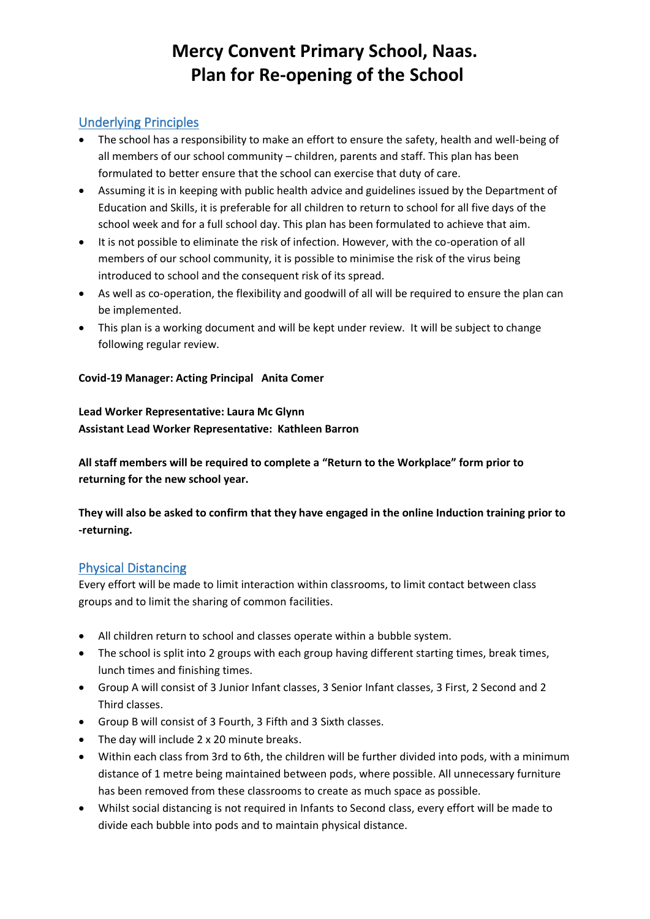## Underlying Principles

- The school has a responsibility to make an effort to ensure the safety, health and well-being of all members of our school community – children, parents and staff. This plan has been formulated to better ensure that the school can exercise that duty of care.
- Assuming it is in keeping with public health advice and guidelines issued by the Department of Education and Skills, it is preferable for all children to return to school for all five days of the school week and for a full school day. This plan has been formulated to achieve that aim.
- It is not possible to eliminate the risk of infection. However, with the co-operation of all members of our school community, it is possible to minimise the risk of the virus being introduced to school and the consequent risk of its spread.
- As well as co-operation, the flexibility and goodwill of all will be required to ensure the plan can be implemented.
- This plan is a working document and will be kept under review. It will be subject to change following regular review.

#### **Covid-19 Manager: Acting Principal Anita Comer**

#### **Lead Worker Representative: Laura Mc Glynn Assistant Lead Worker Representative: Kathleen Barron**

**All staff members will be required to complete a "Return to the Workplace" form prior to returning for the new school year.**

**They will also be asked to confirm that they have engaged in the online Induction training prior to -returning.**

## Physical Distancing

Every effort will be made to limit interaction within classrooms, to limit contact between class groups and to limit the sharing of common facilities.

- All children return to school and classes operate within a bubble system.
- The school is split into 2 groups with each group having different starting times, break times, lunch times and finishing times.
- Group A will consist of 3 Junior Infant classes, 3 Senior Infant classes, 3 First, 2 Second and 2 Third classes.
- Group B will consist of 3 Fourth, 3 Fifth and 3 Sixth classes.
- The day will include 2 x 20 minute breaks.
- Within each class from 3rd to 6th, the children will be further divided into pods, with a minimum distance of 1 metre being maintained between pods, where possible. All unnecessary furniture has been removed from these classrooms to create as much space as possible.
- Whilst social distancing is not required in Infants to Second class, every effort will be made to divide each bubble into pods and to maintain physical distance.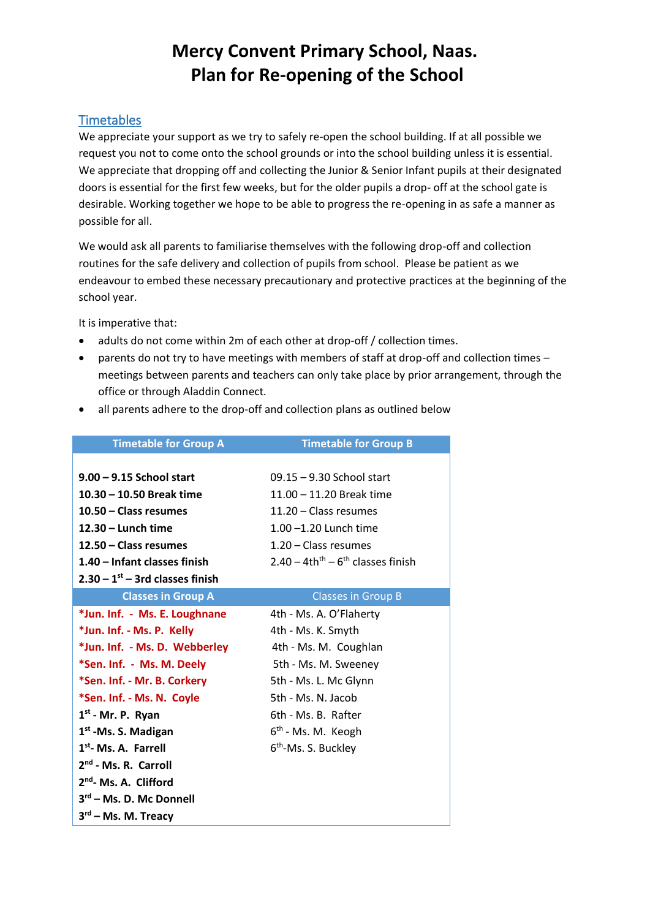#### **Timetables**

We appreciate your support as we try to safely re-open the school building. If at all possible we request you not to come onto the school grounds or into the school building unless it is essential. We appreciate that dropping off and collecting the Junior & Senior Infant pupils at their designated doors is essential for the first few weeks, but for the older pupils a drop- off at the school gate is desirable. Working together we hope to be able to progress the re-opening in as safe a manner as possible for all.

We would ask all parents to familiarise themselves with the following drop-off and collection routines for the safe delivery and collection of pupils from school. Please be patient as we endeavour to embed these necessary precautionary and protective practices at the beginning of the school year.

It is imperative that:

- adults do not come within 2m of each other at drop-off / collection times.
- parents do not try to have meetings with members of staff at drop-off and collection times meetings between parents and teachers can only take place by prior arrangement, through the office or through Aladdin Connect.

| <b>Timetable for Group A</b>      | <b>Timetable for Group B</b>                                 |  |  |
|-----------------------------------|--------------------------------------------------------------|--|--|
| $9.00 - 9.15$ School start        | 09.15 - 9.30 School start                                    |  |  |
| 10.30 - 10.50 Break time          | 11.00 - 11.20 Break time                                     |  |  |
| 10.50 - Class resumes             | 11.20 - Class resumes                                        |  |  |
| $12.30 -$ Lunch time              | $1.00 - 1.20$ Lunch time                                     |  |  |
| 12.50 – Class resumes             | $1.20 - Class$ resumes                                       |  |  |
| 1.40 - Infant classes finish      | $2.40 - 4th$ <sup>th</sup> $-6$ <sup>th</sup> classes finish |  |  |
| $2.30 - 1st - 3rd$ classes finish |                                                              |  |  |
| <b>Classes in Group A</b>         | <b>Classes in Group B</b>                                    |  |  |
| *Jun. Inf. - Ms. E. Loughnane     | 4th - Ms. A. O'Flaherty                                      |  |  |
| *Jun. Inf. - Ms. P. Kelly         | 4th - Ms. K. Smyth                                           |  |  |
| *Jun. Inf. - Ms. D. Webberley     | 4th - Ms. M. Coughlan                                        |  |  |
| *Sen. Inf. - Ms. M. Deely         | 5th - Ms. M. Sweeney                                         |  |  |
| *Sen. Inf. - Mr. B. Corkery       | 5th - Ms. L. Mc Glynn                                        |  |  |
| *Sen. Inf. - Ms. N. Coyle         | 5th - Ms. N. Jacob                                           |  |  |
| $1st$ - Mr. P. Ryan               | 6th - Ms. B. Rafter                                          |  |  |
| 1 <sup>st</sup> -Ms. S. Madigan   | 6 <sup>th</sup> - Ms. M. Keogh                               |  |  |
| 1 <sup>st</sup> - Ms. A. Farrell  | 6 <sup>th</sup> -Ms. S. Buckley                              |  |  |
| 2 <sup>nd</sup> - Ms. R. Carroll  |                                                              |  |  |
| 2 <sup>nd</sup> - Ms. A. Clifford |                                                              |  |  |
| 3rd - Ms. D. Mc Donnell           |                                                              |  |  |
| 3rd - Ms. M. Treacy               |                                                              |  |  |

• all parents adhere to the drop-off and collection plans as outlined below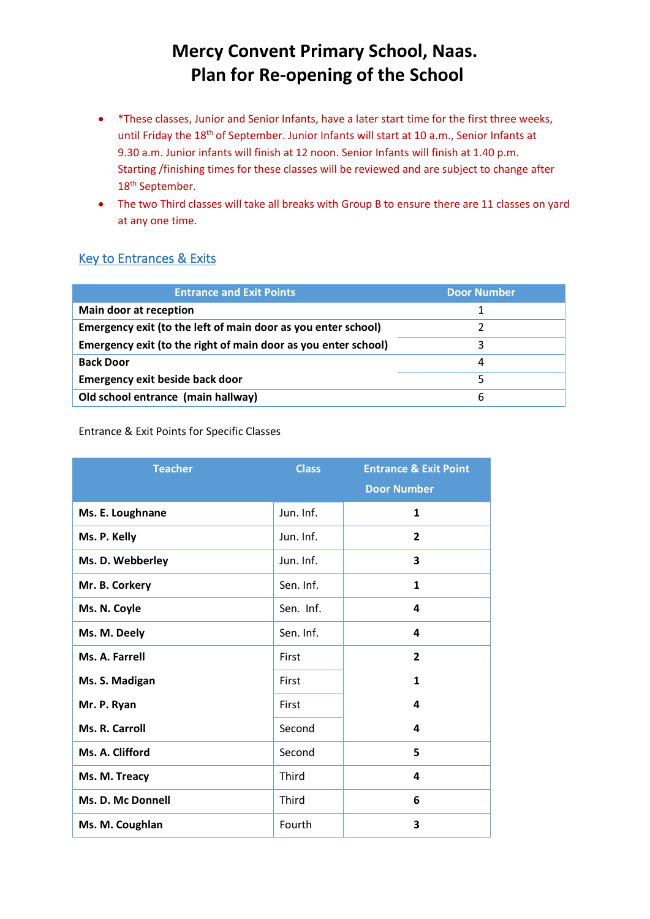- \*These classes, Junior and Senior Infants, have a later start time for the first three weeks, until Friday the 18<sup>th</sup> of September. Junior Infants will start at 10 a.m., Senior Infants at 9.30 a.m. Junior infants will finish at 12 noon. Senior Infants will finish at 1.40 p.m. Starting /finishing times for these classes will be reviewed and are subject to change after 18<sup>th</sup> September.
- The two Third classes will take all breaks with Group B to ensure there are 11 classes on yard at any one time.

## Key to Entrances & Exits

| <b>Entrance and Exit Points</b>                                | <b>Door Number</b> |
|----------------------------------------------------------------|--------------------|
| Main door at reception                                         |                    |
| Emergency exit (to the left of main door as you enter school)  |                    |
| Emergency exit (to the right of main door as you enter school) |                    |
| <b>Back Door</b>                                               | 4                  |
| <b>Emergency exit beside back door</b>                         |                    |
| Old school entrance (main hallway)                             | 6                  |

#### Entrance & Exit Points for Specific Classes

| <b>Teacher</b>    | <b>Class</b> | <b>Entrance &amp; Exit Point</b> |
|-------------------|--------------|----------------------------------|
|                   |              | <b>Door Number</b>               |
| Ms. E. Loughnane  | Jun. Inf.    | 1                                |
| Ms. P. Kelly      | Jun. Inf.    | $\overline{2}$                   |
| Ms. D. Webberley  | Jun. Inf.    | 3                                |
| Mr. B. Corkery    | Sen. Inf.    | 1                                |
| Ms. N. Coyle      | Sen. Inf.    | 4                                |
| Ms. M. Deely      | Sen. Inf.    | 4                                |
| Ms. A. Farrell    | First        | $\overline{2}$                   |
| Ms. S. Madigan    | First        | $\mathbf{1}$                     |
| Mr. P. Ryan       | First        | 4                                |
| Ms. R. Carroll    | Second       | 4                                |
| Ms. A. Clifford   | Second       | 5                                |
| Ms. M. Treacy     | Third        | 4                                |
| Ms. D. Mc Donnell | Third        | 6                                |
| Ms. M. Coughlan   | Fourth       | 3                                |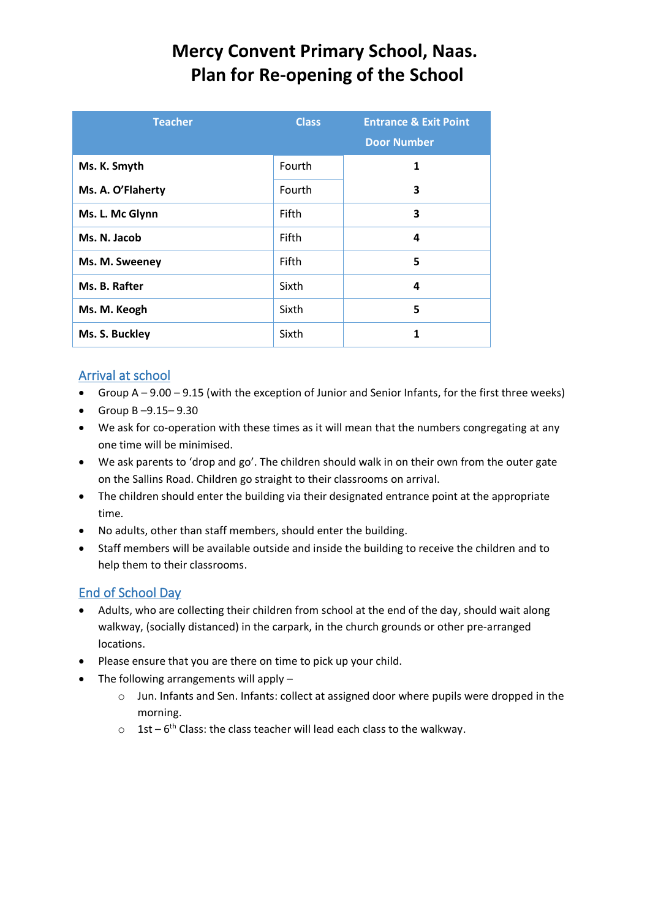| <b>Teacher</b>    | <b>Class</b> | <b>Entrance &amp; Exit Point</b><br><b>Door Number</b> |
|-------------------|--------------|--------------------------------------------------------|
| Ms. K. Smyth      | Fourth       | 1                                                      |
| Ms. A. O'Flaherty | Fourth       | 3                                                      |
| Ms. L. Mc Glynn   | Fifth        | 3                                                      |
| Ms. N. Jacob      | Fifth        | 4                                                      |
| Ms. M. Sweeney    | Fifth        | 5                                                      |
| Ms. B. Rafter     | Sixth        | 4                                                      |
| Ms. M. Keogh      | Sixth        | 5                                                      |
| Ms. S. Buckley    | Sixth        | 1                                                      |

# Arrival at school

- Group A 9.00 9.15 (with the exception of Junior and Senior Infants, for the first three weeks)
- Group B –9.15– 9.30
- We ask for co-operation with these times as it will mean that the numbers congregating at any one time will be minimised.
- We ask parents to 'drop and go'. The children should walk in on their own from the outer gate on the Sallins Road. Children go straight to their classrooms on arrival.
- The children should enter the building via their designated entrance point at the appropriate time.
- No adults, other than staff members, should enter the building.
- Staff members will be available outside and inside the building to receive the children and to help them to their classrooms.

## End of School Day

- Adults, who are collecting their children from school at the end of the day, should wait along walkway, (socially distanced) in the carpark, in the church grounds or other pre-arranged locations.
- Please ensure that you are there on time to pick up your child.
- The following arrangements will apply
	- o Jun. Infants and Sen. Infants: collect at assigned door where pupils were dropped in the morning.
	- $\circ$  1st 6<sup>th</sup> Class: the class teacher will lead each class to the walkway.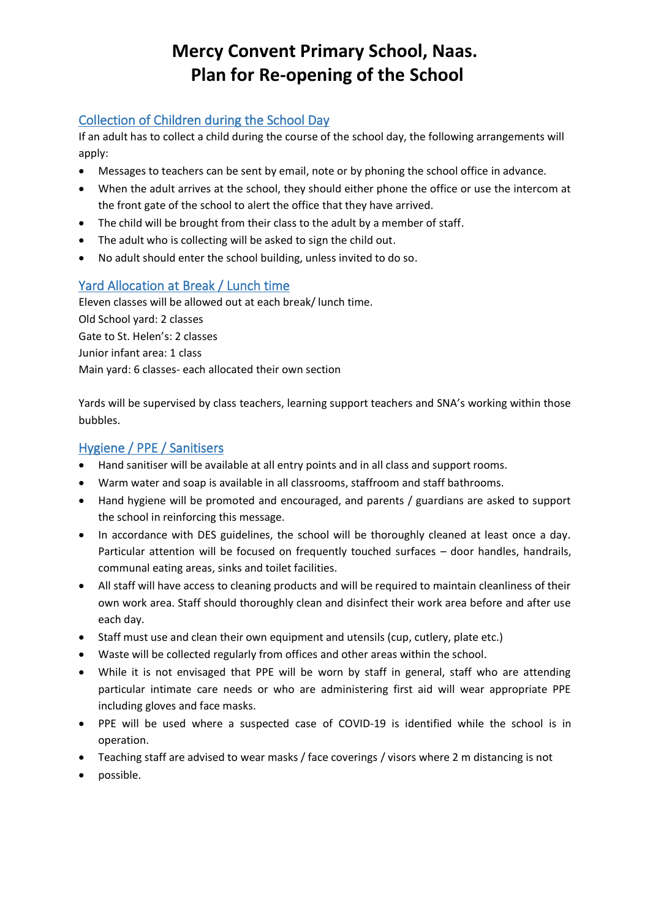## Collection of Children during the School Day

If an adult has to collect a child during the course of the school day, the following arrangements will apply:

- Messages to teachers can be sent by email, note or by phoning the school office in advance.
- When the adult arrives at the school, they should either phone the office or use the intercom at the front gate of the school to alert the office that they have arrived.
- The child will be brought from their class to the adult by a member of staff.
- The adult who is collecting will be asked to sign the child out.
- No adult should enter the school building, unless invited to do so.

## Yard Allocation at Break / Lunch time

Eleven classes will be allowed out at each break/ lunch time. Old School yard: 2 classes Gate to St. Helen's: 2 classes Junior infant area: 1 class Main yard: 6 classes- each allocated their own section

Yards will be supervised by class teachers, learning support teachers and SNA's working within those bubbles.

## Hygiene / PPE / Sanitisers

- Hand sanitiser will be available at all entry points and in all class and support rooms.
- Warm water and soap is available in all classrooms, staffroom and staff bathrooms.
- Hand hygiene will be promoted and encouraged, and parents / guardians are asked to support the school in reinforcing this message.
- In accordance with DES guidelines, the school will be thoroughly cleaned at least once a day. Particular attention will be focused on frequently touched surfaces – door handles, handrails, communal eating areas, sinks and toilet facilities.
- All staff will have access to cleaning products and will be required to maintain cleanliness of their own work area. Staff should thoroughly clean and disinfect their work area before and after use each day.
- Staff must use and clean their own equipment and utensils (cup, cutlery, plate etc.)
- Waste will be collected regularly from offices and other areas within the school.
- While it is not envisaged that PPE will be worn by staff in general, staff who are attending particular intimate care needs or who are administering first aid will wear appropriate PPE including gloves and face masks.
- PPE will be used where a suspected case of COVID-19 is identified while the school is in operation.
- Teaching staff are advised to wear masks / face coverings / visors where 2 m distancing is not
- possible.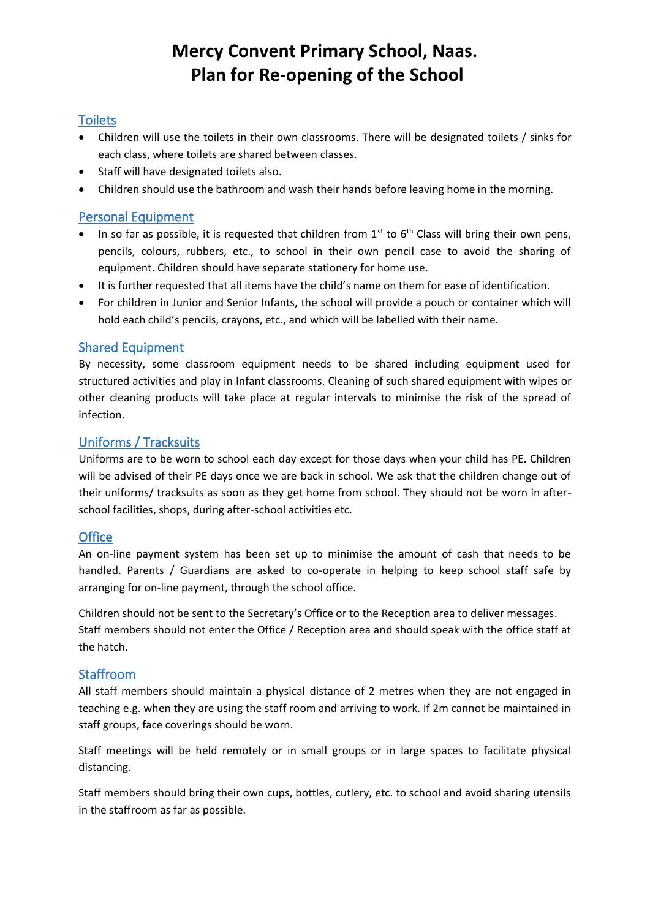## **Toilets**

- Children will use the toilets in their own classrooms. There will be designated toilets / sinks for each class, where toilets are shared between classes.
- Staff will have designated toilets also.
- Children should use the bathroom and wash their hands before leaving home in the morning.

### Personal Equipment

- In so far as possible, it is requested that children from  $1^{st}$  to  $6^{th}$  Class will bring their own pens, pencils, colours, rubbers, etc., to school in their own pencil case to avoid the sharing of equipment. Children should have separate stationery for home use.
- It is further requested that all items have the child's name on them for ease of identification.
- For children in Junior and Senior Infants, the school will provide a pouch or container which will hold each child's pencils, crayons, etc., and which will be labelled with their name.

#### Shared Equipment

By necessity, some classroom equipment needs to be shared including equipment used for structured activities and play in Infant classrooms. Cleaning of such shared equipment with wipes or other cleaning products will take place at regular intervals to minimise the risk of the spread of infection.

### Uniforms / Tracksuits

Uniforms are to be worn to school each day except for those days when your child has PE. Children will be advised of their PE days once we are back in school. We ask that the children change out of their uniforms/ tracksuits as soon as they get home from school. They should not be worn in afterschool facilities, shops, during after-school activities etc.

#### **Office**

An on-line payment system has been set up to minimise the amount of cash that needs to be handled. Parents / Guardians are asked to co-operate in helping to keep school staff safe by arranging for on-line payment, through the school office.

Children should not be sent to the Secretary's Office or to the Reception area to deliver messages. Staff members should not enter the Office / Reception area and should speak with the office staff at the hatch.

#### Staffroom

All staff members should maintain a physical distance of 2 metres when they are not engaged in teaching e.g. when they are using the staff room and arriving to work. If 2m cannot be maintained in staff groups, face coverings should be worn.

Staff meetings will be held remotely or in small groups or in large spaces to facilitate physical distancing.

Staff members should bring their own cups, bottles, cutlery, etc. to school and avoid sharing utensils in the staffroom as far as possible.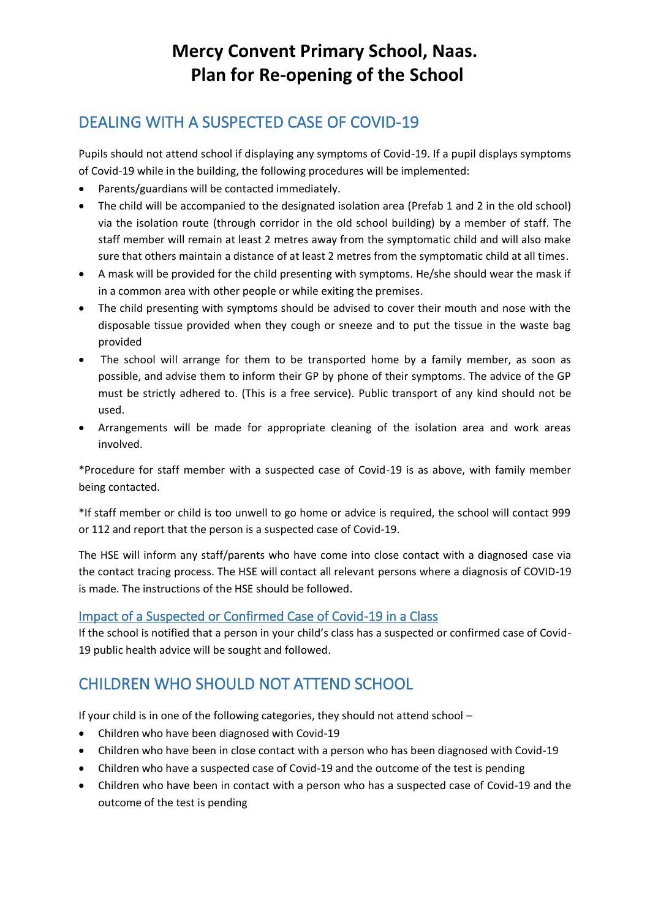# DEALING WITH A SUSPECTED CASE OF COVID-19

Pupils should not attend school if displaying any symptoms of Covid-19. If a pupil displays symptoms of Covid-19 while in the building, the following procedures will be implemented:

- Parents/guardians will be contacted immediately.
- The child will be accompanied to the designated isolation area (Prefab 1 and 2 in the old school) via the isolation route (through corridor in the old school building) by a member of staff. The staff member will remain at least 2 metres away from the symptomatic child and will also make sure that others maintain a distance of at least 2 metres from the symptomatic child at all times.
- A mask will be provided for the child presenting with symptoms. He/she should wear the mask if in a common area with other people or while exiting the premises.
- The child presenting with symptoms should be advised to cover their mouth and nose with the disposable tissue provided when they cough or sneeze and to put the tissue in the waste bag provided
- The school will arrange for them to be transported home by a family member, as soon as possible, and advise them to inform their GP by phone of their symptoms. The advice of the GP must be strictly adhered to. (This is a free service). Public transport of any kind should not be used.
- Arrangements will be made for appropriate cleaning of the isolation area and work areas involved.

\*Procedure for staff member with a suspected case of Covid-19 is as above, with family member being contacted.

\*If staff member or child is too unwell to go home or advice is required, the school will contact 999 or 112 and report that the person is a suspected case of Covid-19.

The HSE will inform any staff/parents who have come into close contact with a diagnosed case via the contact tracing process. The HSE will contact all relevant persons where a diagnosis of COVID-19 is made. The instructions of the HSE should be followed.

#### Impact of a Suspected or Confirmed Case of Covid-19 in a Class

If the school is notified that a person in your child's class has a suspected or confirmed case of Covid-19 public health advice will be sought and followed.

# CHILDREN WHO SHOULD NOT ATTEND SCHOOL

If your child is in one of the following categories, they should not attend school –

- Children who have been diagnosed with Covid-19
- Children who have been in close contact with a person who has been diagnosed with Covid-19
- Children who have a suspected case of Covid-19 and the outcome of the test is pending
- Children who have been in contact with a person who has a suspected case of Covid-19 and the outcome of the test is pending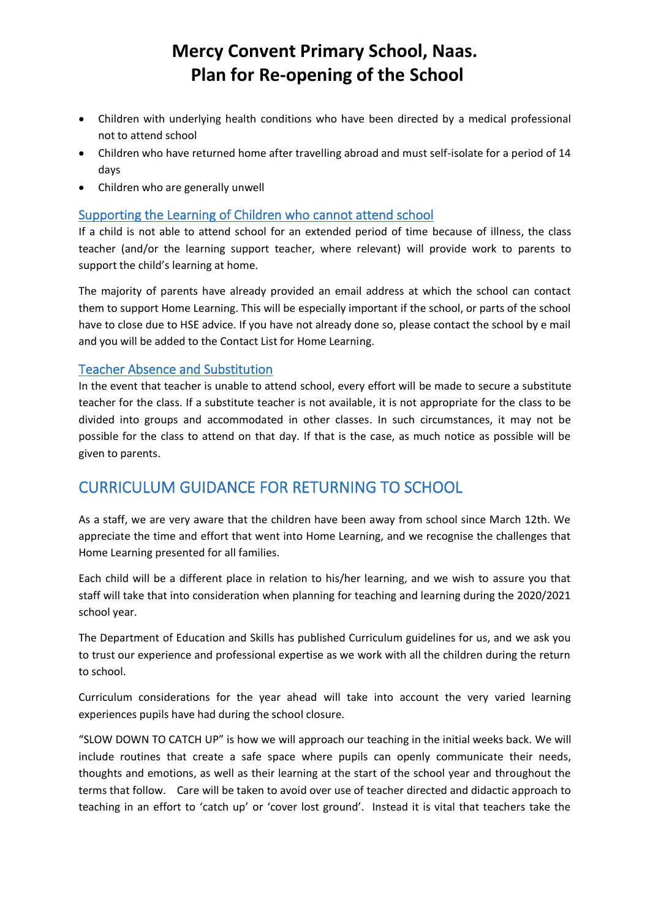- Children with underlying health conditions who have been directed by a medical professional not to attend school
- Children who have returned home after travelling abroad and must self-isolate for a period of 14 days
- Children who are generally unwell

#### Supporting the Learning of Children who cannot attend school

If a child is not able to attend school for an extended period of time because of illness, the class teacher (and/or the learning support teacher, where relevant) will provide work to parents to support the child's learning at home.

The majority of parents have already provided an email address at which the school can contact them to support Home Learning. This will be especially important if the school, or parts of the school have to close due to HSE advice. If you have not already done so, please contact the school by e mail and you will be added to the Contact List for Home Learning.

#### Teacher Absence and Substitution

In the event that teacher is unable to attend school, every effort will be made to secure a substitute teacher for the class. If a substitute teacher is not available, it is not appropriate for the class to be divided into groups and accommodated in other classes. In such circumstances, it may not be possible for the class to attend on that day. If that is the case, as much notice as possible will be given to parents.

# CURRICULUM GUIDANCE FOR RETURNING TO SCHOOL

As a staff, we are very aware that the children have been away from school since March 12th. We appreciate the time and effort that went into Home Learning, and we recognise the challenges that Home Learning presented for all families.

Each child will be a different place in relation to his/her learning, and we wish to assure you that staff will take that into consideration when planning for teaching and learning during the 2020/2021 school year.

The Department of Education and Skills has published Curriculum guidelines for us, and we ask you to trust our experience and professional expertise as we work with all the children during the return to school.

Curriculum considerations for the year ahead will take into account the very varied learning experiences pupils have had during the school closure.

"SLOW DOWN TO CATCH UP" is how we will approach our teaching in the initial weeks back. We will include routines that create a safe space where pupils can openly communicate their needs, thoughts and emotions, as well as their learning at the start of the school year and throughout the terms that follow. Care will be taken to avoid over use of teacher directed and didactic approach to teaching in an effort to 'catch up' or 'cover lost ground'. Instead it is vital that teachers take the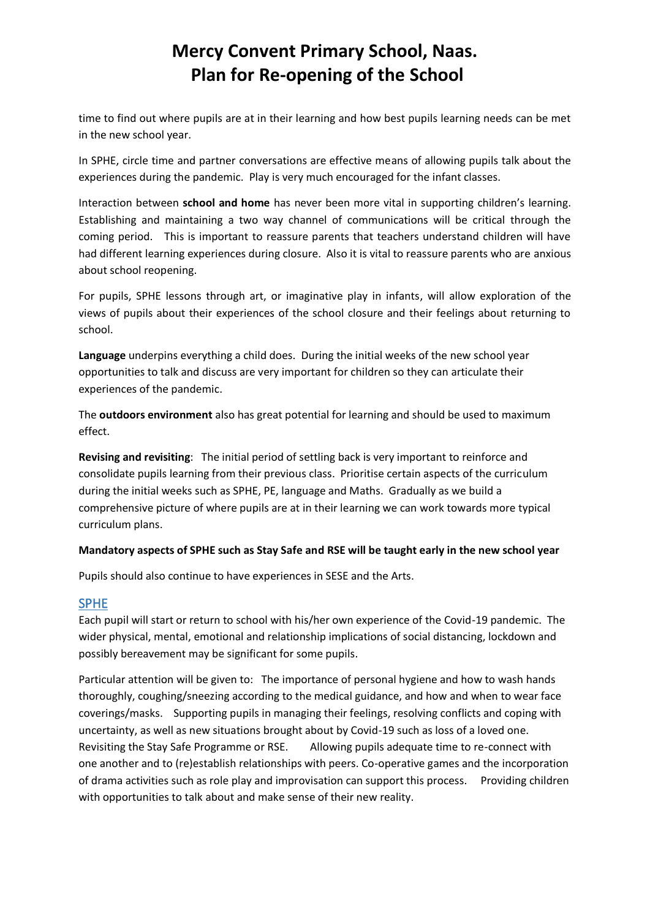time to find out where pupils are at in their learning and how best pupils learning needs can be met in the new school year.

In SPHE, circle time and partner conversations are effective means of allowing pupils talk about the experiences during the pandemic. Play is very much encouraged for the infant classes.

Interaction between **school and home** has never been more vital in supporting children's learning. Establishing and maintaining a two way channel of communications will be critical through the coming period. This is important to reassure parents that teachers understand children will have had different learning experiences during closure. Also it is vital to reassure parents who are anxious about school reopening.

For pupils, SPHE lessons through art, or imaginative play in infants, will allow exploration of the views of pupils about their experiences of the school closure and their feelings about returning to school.

**Language** underpins everything a child does. During the initial weeks of the new school year opportunities to talk and discuss are very important for children so they can articulate their experiences of the pandemic.

The **outdoors environment** also has great potential for learning and should be used to maximum effect.

**Revising and revisiting**: The initial period of settling back is very important to reinforce and consolidate pupils learning from their previous class. Prioritise certain aspects of the curriculum during the initial weeks such as SPHE, PE, language and Maths. Gradually as we build a comprehensive picture of where pupils are at in their learning we can work towards more typical curriculum plans.

#### **Mandatory aspects of SPHE such as Stay Safe and RSE will be taught early in the new school year**

Pupils should also continue to have experiences in SESE and the Arts.

#### SPHE

Each pupil will start or return to school with his/her own experience of the Covid-19 pandemic. The wider physical, mental, emotional and relationship implications of social distancing, lockdown and possibly bereavement may be significant for some pupils.

Particular attention will be given to: The importance of personal hygiene and how to wash hands thoroughly, coughing/sneezing according to the medical guidance, and how and when to wear face coverings/masks. Supporting pupils in managing their feelings, resolving conflicts and coping with uncertainty, as well as new situations brought about by Covid-19 such as loss of a loved one. Revisiting the Stay Safe Programme or RSE. Allowing pupils adequate time to re-connect with one another and to (re)establish relationships with peers. Co-operative games and the incorporation of drama activities such as role play and improvisation can support this process. Providing children with opportunities to talk about and make sense of their new reality.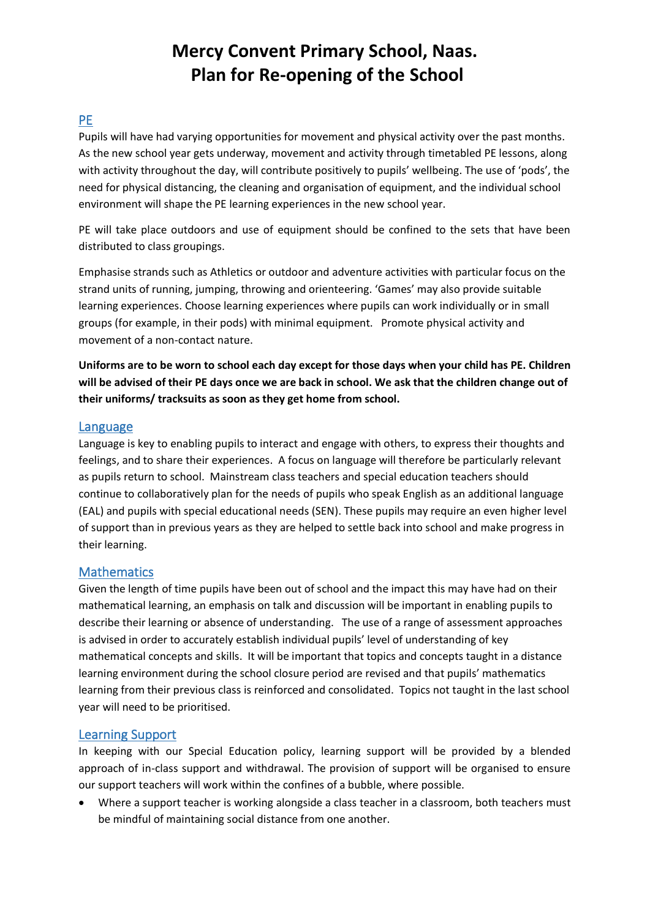### PE

Pupils will have had varying opportunities for movement and physical activity over the past months. As the new school year gets underway, movement and activity through timetabled PE lessons, along with activity throughout the day, will contribute positively to pupils' wellbeing. The use of 'pods', the need for physical distancing, the cleaning and organisation of equipment, and the individual school environment will shape the PE learning experiences in the new school year.

PE will take place outdoors and use of equipment should be confined to the sets that have been distributed to class groupings.

Emphasise strands such as Athletics or outdoor and adventure activities with particular focus on the strand units of running, jumping, throwing and orienteering. 'Games' may also provide suitable learning experiences. Choose learning experiences where pupils can work individually or in small groups (for example, in their pods) with minimal equipment. Promote physical activity and movement of a non-contact nature.

**Uniforms are to be worn to school each day except for those days when your child has PE. Children will be advised of their PE days once we are back in school. We ask that the children change out of their uniforms/ tracksuits as soon as they get home from school.**

#### Language

Language is key to enabling pupils to interact and engage with others, to express their thoughts and feelings, and to share their experiences. A focus on language will therefore be particularly relevant as pupils return to school. Mainstream class teachers and special education teachers should continue to collaboratively plan for the needs of pupils who speak English as an additional language (EAL) and pupils with special educational needs (SEN). These pupils may require an even higher level of support than in previous years as they are helped to settle back into school and make progress in their learning.

#### **Mathematics**

Given the length of time pupils have been out of school and the impact this may have had on their mathematical learning, an emphasis on talk and discussion will be important in enabling pupils to describe their learning or absence of understanding. The use of a range of assessment approaches is advised in order to accurately establish individual pupils' level of understanding of key mathematical concepts and skills. It will be important that topics and concepts taught in a distance learning environment during the school closure period are revised and that pupils' mathematics learning from their previous class is reinforced and consolidated. Topics not taught in the last school year will need to be prioritised.

#### Learning Support

In keeping with our Special Education policy, learning support will be provided by a blended approach of in-class support and withdrawal. The provision of support will be organised to ensure our support teachers will work within the confines of a bubble, where possible.

• Where a support teacher is working alongside a class teacher in a classroom, both teachers must be mindful of maintaining social distance from one another.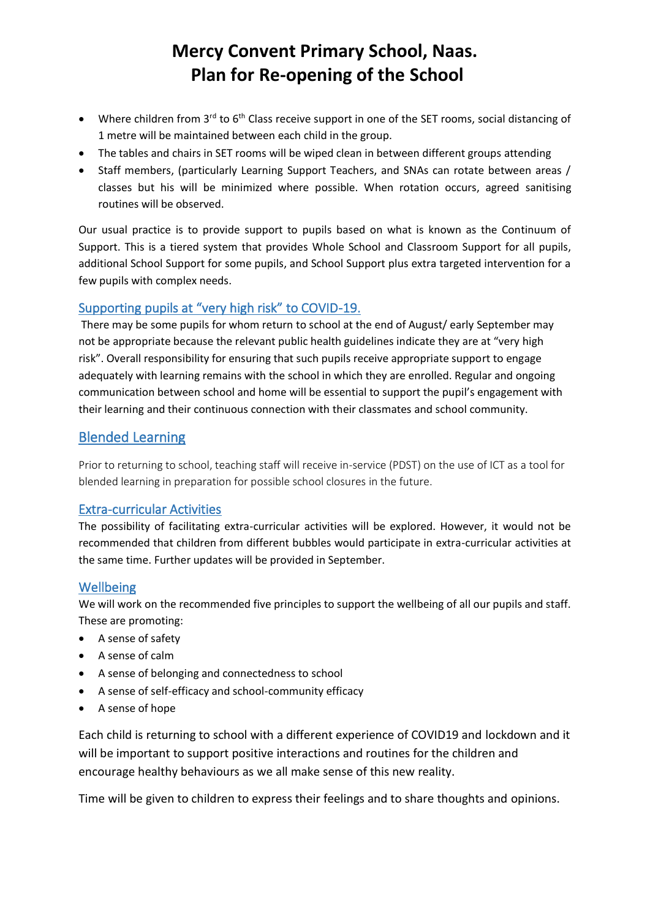- Where children from 3<sup>rd</sup> to 6<sup>th</sup> Class receive support in one of the SET rooms, social distancing of 1 metre will be maintained between each child in the group.
- The tables and chairs in SET rooms will be wiped clean in between different groups attending
- Staff members, (particularly Learning Support Teachers, and SNAs can rotate between areas / classes but his will be minimized where possible. When rotation occurs, agreed sanitising routines will be observed.

Our usual practice is to provide support to pupils based on what is known as the Continuum of Support. This is a tiered system that provides Whole School and Classroom Support for all pupils, additional School Support for some pupils, and School Support plus extra targeted intervention for a few pupils with complex needs.

### Supporting pupils at "very high risk" to COVID-19.

There may be some pupils for whom return to school at the end of August/ early September may not be appropriate because the relevant public health guidelines indicate they are at "very high risk". Overall responsibility for ensuring that such pupils receive appropriate support to engage adequately with learning remains with the school in which they are enrolled. Regular and ongoing communication between school and home will be essential to support the pupil's engagement with their learning and their continuous connection with their classmates and school community.

## Blended Learning

Prior to returning to school, teaching staff will receive in-service (PDST) on the use of ICT as a tool for blended learning in preparation for possible school closures in the future.

#### Extra-curricular Activities

The possibility of facilitating extra-curricular activities will be explored. However, it would not be recommended that children from different bubbles would participate in extra-curricular activities at the same time. Further updates will be provided in September.

#### Wellbeing

We will work on the recommended five principles to support the wellbeing of all our pupils and staff. These are promoting:

- A sense of safety
- A sense of calm
- A sense of belonging and connectedness to school
- A sense of self-efficacy and school-community efficacy
- A sense of hope

Each child is returning to school with a different experience of COVID19 and lockdown and it will be important to support positive interactions and routines for the children and encourage healthy behaviours as we all make sense of this new reality.

Time will be given to children to express their feelings and to share thoughts and opinions.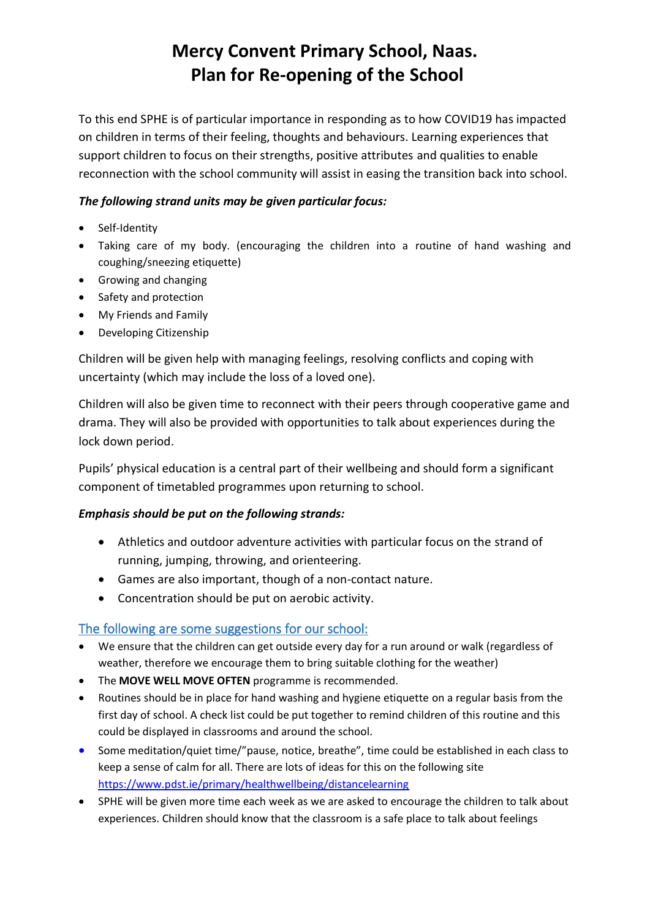To this end SPHE is of particular importance in responding as to how COVID19 has impacted on children in terms of their feeling, thoughts and behaviours. Learning experiences that support children to focus on their strengths, positive attributes and qualities to enable reconnection with the school community will assist in easing the transition back into school.

### *The following strand units may be given particular focus:*

- Self-Identity
- Taking care of my body. (encouraging the children into a routine of hand washing and coughing/sneezing etiquette)
- Growing and changing
- Safety and protection
- My Friends and Family
- Developing Citizenship

Children will be given help with managing feelings, resolving conflicts and coping with uncertainty (which may include the loss of a loved one).

Children will also be given time to reconnect with their peers through cooperative game and drama. They will also be provided with opportunities to talk about experiences during the lock down period.

Pupils' physical education is a central part of their wellbeing and should form a significant component of timetabled programmes upon returning to school.

#### *Emphasis should be put on the following strands:*

- Athletics and outdoor adventure activities with particular focus on the strand of running, jumping, throwing, and orienteering.
- Games are also important, though of a non-contact nature.
- Concentration should be put on aerobic activity.

## The following are some suggestions for our school:

- We ensure that the children can get outside every day for a run around or walk (regardless of weather, therefore we encourage them to bring suitable clothing for the weather)
- The **MOVE WELL MOVE OFTEN** programme is recommended.
- Routines should be in place for hand washing and hygiene etiquette on a regular basis from the first day of school. A check list could be put together to remind children of this routine and this could be displayed in classrooms and around the school.
- Some meditation/quiet time/"pause, notice, breathe", time could be established in each class to keep a sense of calm for all. There are lots of ideas for this on the following site <https://www.pdst.ie/primary/healthwellbeing/distancelearning>
- SPHE will be given more time each week as we are asked to encourage the children to talk about experiences. Children should know that the classroom is a safe place to talk about feelings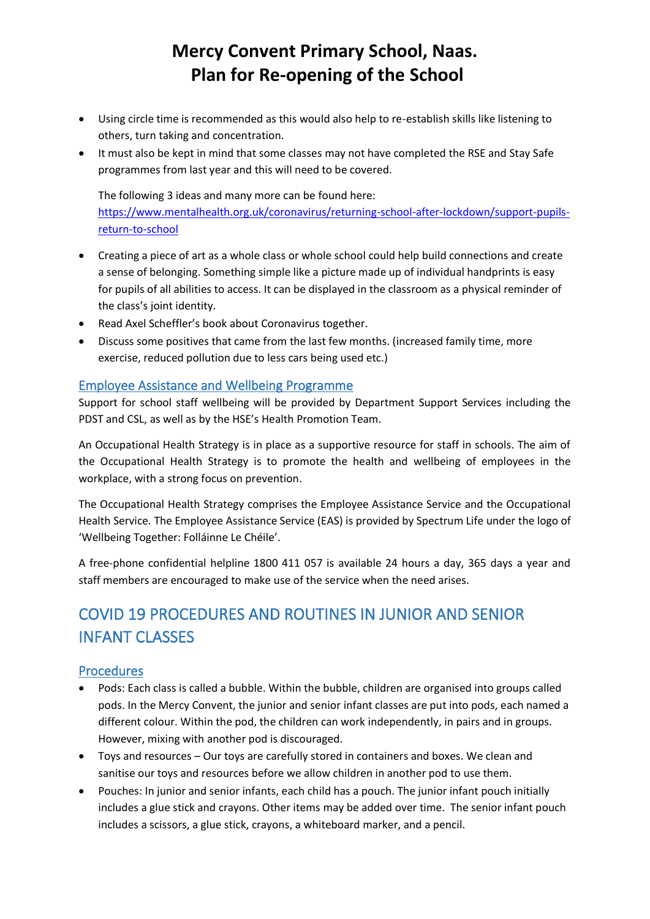- Using circle time is recommended as this would also help to re-establish skills like listening to others, turn taking and concentration.
- It must also be kept in mind that some classes may not have completed the RSE and Stay Safe programmes from last year and this will need to be covered.

The following 3 ideas and many more can be found here: https://www.mentalhealth.org.uk/coronavirus/returning-school-after-lockdown/support-pupilsreturn-to-school

- Creating a piece of art as a whole class or whole school could help build connections and create a sense of belonging. Something simple like a picture made up of individual handprints is easy for pupils of all abilities to access. It can be displayed in the classroom as a physical reminder of the class's joint identity.
- Read Axel Sch[effler's book](https://nosycrowcoronavirus.s3-eu-west-1.amazonaws.com/Coronavirus_ABookForChildren.pdf) about Coronavirus together.
- Discuss some positives that came from the last few months. (increased family time, more exercise, reduced pollution due to less cars being used etc.)

#### Employee Assistance and Wellbeing Programme

Support for school staff wellbeing will be provided by Department Support Services including the PDST and CSL, as well as by the HSE's Health Promotion Team.

An Occupational Health Strategy is in place as a supportive resource for staff in schools. The aim of the Occupational Health Strategy is to promote the health and wellbeing of employees in the workplace, with a strong focus on prevention.

The Occupational Health Strategy comprises the Employee Assistance Service and the Occupational Health Service. The Employee Assistance Service (EAS) is provided by Spectrum Life under the logo of 'Wellbeing Together: Folláinne Le Chéile'.

A free-phone confidential helpline 1800 411 057 is available 24 hours a day, 365 days a year and staff members are encouraged to make use of the service when the need arises.

# COVID 19 PROCEDURES AND ROUTINES IN JUNIOR AND SENIOR INFANT CLASSES

#### Procedures

- Pods: Each class is called a bubble. Within the bubble, children are organised into groups called pods. In the Mercy Convent, the junior and senior infant classes are put into pods, each named a different colour. Within the pod, the children can work independently, in pairs and in groups. However, mixing with another pod is discouraged.
- Toys and resources Our toys are carefully stored in containers and boxes. We clean and sanitise our toys and resources before we allow children in another pod to use them.
- Pouches: In junior and senior infants, each child has a pouch. The junior infant pouch initially includes a glue stick and crayons. Other items may be added over time. The senior infant pouch includes a scissors, a glue stick, crayons, a whiteboard marker, and a pencil.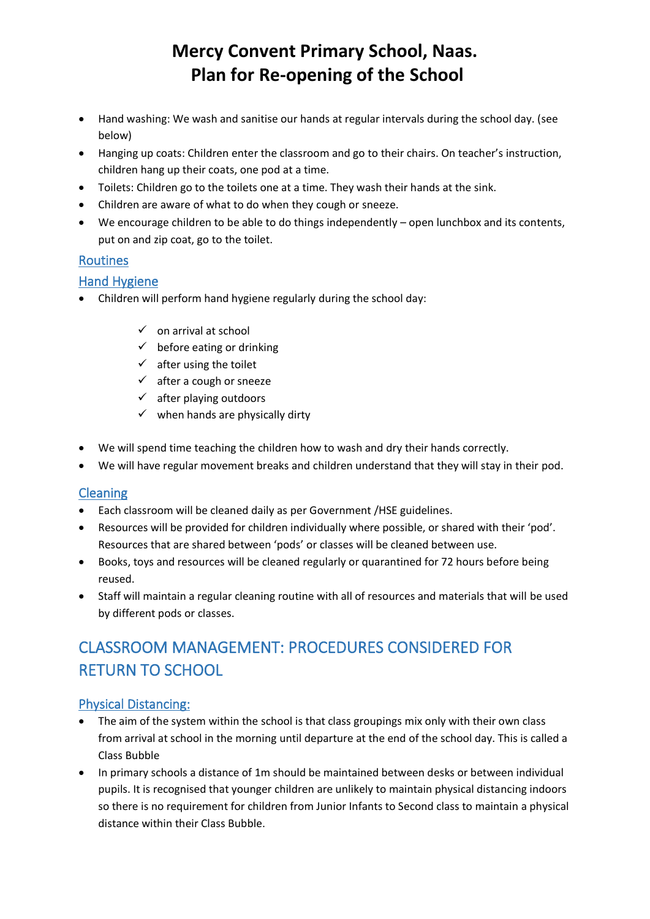- Hand washing: We wash and sanitise our hands at regular intervals during the school day. (see below)
- Hanging up coats: Children enter the classroom and go to their chairs. On teacher's instruction, children hang up their coats, one pod at a time.
- Toilets: Children go to the toilets one at a time. They wash their hands at the sink.
- Children are aware of what to do when they cough or sneeze.
- We encourage children to be able to do things independently open lunchbox and its contents, put on and zip coat, go to the toilet.

### Routines

#### Hand Hygiene

- Children will perform hand hygiene regularly during the school day:
	- $\checkmark$  on arrival at school
	- $\checkmark$  before eating or drinking
	- $\checkmark$  after using the toilet
	- $\checkmark$  after a cough or sneeze
	- $\checkmark$  after playing outdoors
	- $\checkmark$  when hands are physically dirty
- We will spend time teaching the children how to wash and dry their hands correctly.
- We will have regular movement breaks and children understand that they will stay in their pod.

#### Cleaning

- Each classroom will be cleaned daily as per Government /HSE guidelines.
- Resources will be provided for children individually where possible, or shared with their 'pod'. Resources that are shared between 'pods' or classes will be cleaned between use.
- Books, toys and resources will be cleaned regularly or quarantined for 72 hours before being reused.
- Staff will maintain a regular cleaning routine with all of resources and materials that will be used by different pods or classes.

# CLASSROOM MANAGEMENT: PROCEDURES CONSIDERED FOR RETURN TO SCHOOL

#### Physical Distancing:

- The aim of the system within the school is that class groupings mix only with their own class from arrival at school in the morning until departure at the end of the school day. This is called a Class Bubble
- In primary schools a distance of 1m should be maintained between desks or between individual pupils. It is recognised that younger children are unlikely to maintain physical distancing indoors so there is no requirement for children from Junior Infants to Second class to maintain a physical distance within their Class Bubble.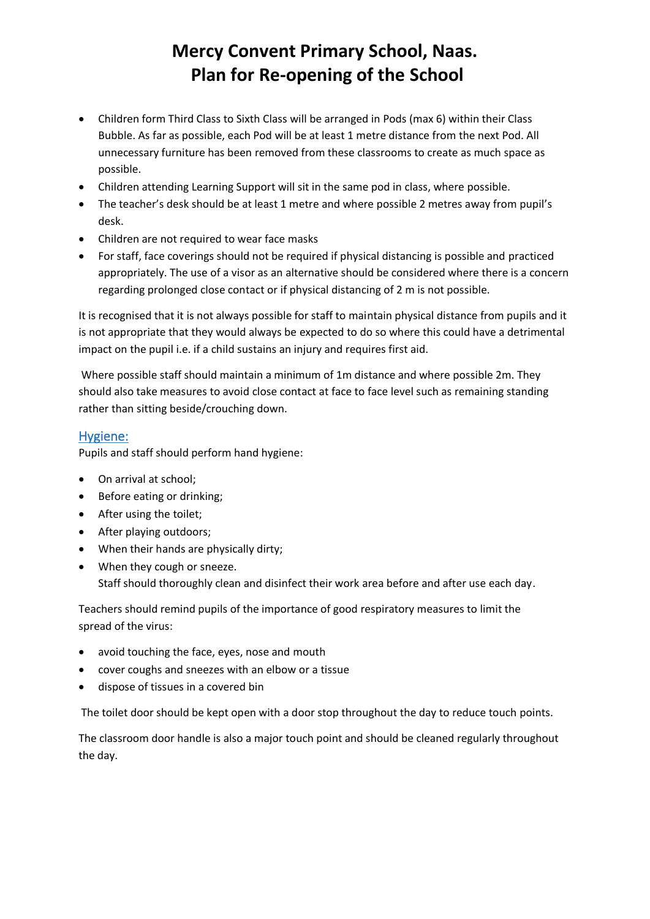- Children form Third Class to Sixth Class will be arranged in Pods (max 6) within their Class Bubble. As far as possible, each Pod will be at least 1 metre distance from the next Pod. All unnecessary furniture has been removed from these classrooms to create as much space as possible.
- Children attending Learning Support will sit in the same pod in class, where possible.
- The teacher's desk should be at least 1 metre and where possible 2 metres away from pupil's desk.
- Children are not required to wear face masks
- For staff, face coverings should not be required if physical distancing is possible and practiced appropriately. The use of a visor as an alternative should be considered where there is a concern regarding prolonged close contact or if physical distancing of 2 m is not possible.

It is recognised that it is not always possible for staff to maintain physical distance from pupils and it is not appropriate that they would always be expected to do so where this could have a detrimental impact on the pupil i.e. if a child sustains an injury and requires first aid.

Where possible staff should maintain a minimum of 1m distance and where possible 2m. They should also take measures to avoid close contact at face to face level such as remaining standing rather than sitting beside/crouching down.

#### Hygiene:

Pupils and staff should perform hand hygiene:

- On arrival at school;
- Before eating or drinking;
- After using the toilet;
- After playing outdoors;
- When their hands are physically dirty;
- When they cough or sneeze. Staff should thoroughly clean and disinfect their work area before and after use each day.

Teachers should remind pupils of the importance of good respiratory measures to limit the spread of the virus:

- avoid touching the face, eyes, nose and mouth
- cover coughs and sneezes with an elbow or a tissue
- dispose of tissues in a covered bin

The toilet door should be kept open with a door stop throughout the day to reduce touch points.

The classroom door handle is also a major touch point and should be cleaned regularly throughout the day.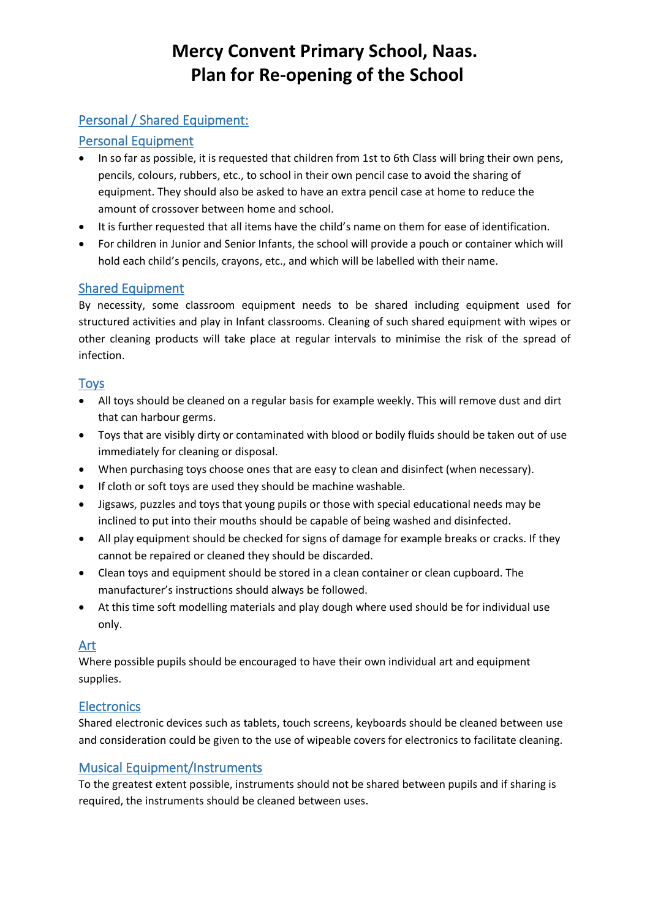## Personal / Shared Equipment:

## Personal Equipment

- In so far as possible, it is requested that children from 1st to 6th Class will bring their own pens, pencils, colours, rubbers, etc., to school in their own pencil case to avoid the sharing of equipment. They should also be asked to have an extra pencil case at home to reduce the amount of crossover between home and school.
- It is further requested that all items have the child's name on them for ease of identification.
- For children in Junior and Senior Infants, the school will provide a pouch or container which will hold each child's pencils, crayons, etc., and which will be labelled with their name.

## Shared Equipment

By necessity, some classroom equipment needs to be shared including equipment used for structured activities and play in Infant classrooms. Cleaning of such shared equipment with wipes or other cleaning products will take place at regular intervals to minimise the risk of the spread of infection.

#### Toys

- All toys should be cleaned on a regular basis for example weekly. This will remove dust and dirt that can harbour germs.
- Toys that are visibly dirty or contaminated with blood or bodily fluids should be taken out of use immediately for cleaning or disposal.
- When purchasing toys choose ones that are easy to clean and disinfect (when necessary).
- If cloth or soft toys are used they should be machine washable.
- Jigsaws, puzzles and toys that young pupils or those with special educational needs may be inclined to put into their mouths should be capable of being washed and disinfected.
- All play equipment should be checked for signs of damage for example breaks or cracks. If they cannot be repaired or cleaned they should be discarded.
- Clean toys and equipment should be stored in a clean container or clean cupboard. The manufacturer's instructions should always be followed.
- At this time soft modelling materials and play dough where used should be for individual use only.

#### Art

Where possible pupils should be encouraged to have their own individual art and equipment supplies.

## **Electronics**

Shared electronic devices such as tablets, touch screens, keyboards should be cleaned between use and consideration could be given to the use of wipeable covers for electronics to facilitate cleaning.

## Musical Equipment/Instruments

To the greatest extent possible, instruments should not be shared between pupils and if sharing is required, the instruments should be cleaned between uses.